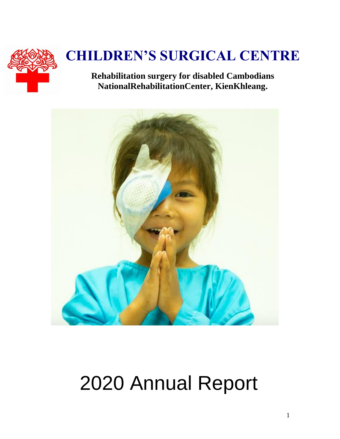

# **CHILDREN'S SURGICAL CENTRE**

**Rehabilitation surgery for disabled Cambodians NationalRehabilitationCenter, KienKhleang.**



# 2020 Annual Report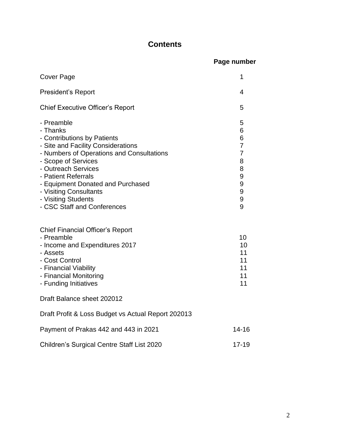## **Contents**

|                                                                                                                                                                                                                                                                                                                                    | Page number                                              |
|------------------------------------------------------------------------------------------------------------------------------------------------------------------------------------------------------------------------------------------------------------------------------------------------------------------------------------|----------------------------------------------------------|
| Cover Page                                                                                                                                                                                                                                                                                                                         | 1                                                        |
| <b>President's Report</b>                                                                                                                                                                                                                                                                                                          | 4                                                        |
| <b>Chief Executive Officer's Report</b>                                                                                                                                                                                                                                                                                            | 5                                                        |
| - Preamble<br>- Thanks<br>- Contributions by Patients<br>- Site and Facility Considerations<br>- Numbers of Operations and Consultations<br>- Scope of Services<br>- Outreach Services<br>- Patient Referrals<br>- Equipment Donated and Purchased<br>- Visiting Consultants<br>- Visiting Students<br>- CSC Staff and Conferences | 5<br>6<br>6<br>7<br>7<br>8<br>8<br>9<br>9<br>9<br>9<br>9 |
| Chief Financial Officer's Report<br>- Preamble<br>- Income and Expenditures 2017<br>- Assets<br>- Cost Control<br>- Financial Viability<br>- Financial Monitoring<br>- Funding Initiatives                                                                                                                                         | 10<br>10<br>11<br>11<br>11<br>11<br>11                   |
| Draft Balance sheet 202012                                                                                                                                                                                                                                                                                                         |                                                          |
| Draft Profit & Loss Budget vs Actual Report 202013                                                                                                                                                                                                                                                                                 |                                                          |
| Payment of Prakas 442 and 443 in 2021                                                                                                                                                                                                                                                                                              | $14 - 16$                                                |
| Children's Surgical Centre Staff List 2020                                                                                                                                                                                                                                                                                         | 17-19                                                    |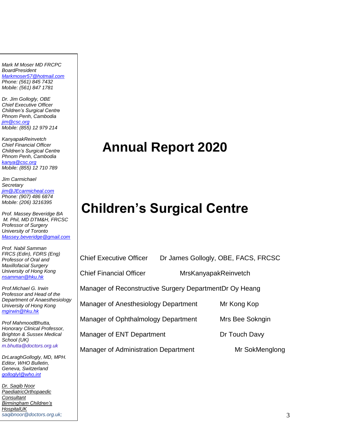*Mark M Moser MD FRCPC BoardPresident [Markmoser57@hotmail.com](mailto:Markmoser57@hotmail.com) Phone: (561) 845 7432 Mobile: (561) 847 1781*

*Dr. Jim Gollogly, OBE Chief Executive Officer Children's Surgical Centre Phnom Penh, Cambodia [jim@csc.org](mailto:jim@csc.org) Mobile: (855) 12 979 214*

*KanyapakReinvetch Chief Financial Officer Children's Surgical Centre Phnom Penh, Cambodia [kanya@csc.org](mailto:kanya@csc.org) Mobile: (855) 12 710 789*

*Jim Carmichael Secretary [jim@JEcarmicheal.com](mailto:jim@JEcarmicheal.com) Phone: (907) 486 6874 Mobile: (206) 3216395* 

*Prof. Massey Beveridge BA M. Phil, MD DTM&H, FRCSC Professor of Surgery University of Toronto [Massey.beveridge@gmail.com](mailto:Massey.beveridge@gmail.com)*

*Prof. Nabil Samman FRCS (Edin), FDRS (Eng) Professor of Oral and Maxillofacial Surgery University of Hong Kong [nsamman@hku.hk](mailto:nsamman@hku.hk)*

*Prof.Michael G. Irwin Professor and Head of the Department of Anaesthesiology University of Hong Kong [mgirwin@hku.hk](mailto:mgirwin@hku.hk)*

*Prof MahmoodBhutta, Honorary Clinical Professor, Brighton & Sussex Medical School (UK) m.bhutta@doctors.org.uk*

*DrLaraghGollogly, MD, MPH. Editor, WHO Bulletin, Geneva, Switzerland [golloglyl@who.int](mailto:golloglyl@who.int)*

*Dr. Saqib Noor PaediatricOrthopaedic Consultant Birmingham Children's HospitalUK saqibnoor@doctors.org.uk;*

# **Annual Report 2020**

# **Children's Surgical Centre**

Chief Executive Officer Dr James Gollogly, OBE, FACS, FRCSC

Chief Financial Officer MrsKanyapakReinvetch

Manager of Reconstructive Surgery DepartmentDr Oy Heang

Manager of Anesthesiology Department Mr Kong Kop

Manager of Ophthalmology Department Mrs Bee Sokngin

Manager of ENT Department Dr Touch Davy

Manager of Administration Department Mr SokMenglong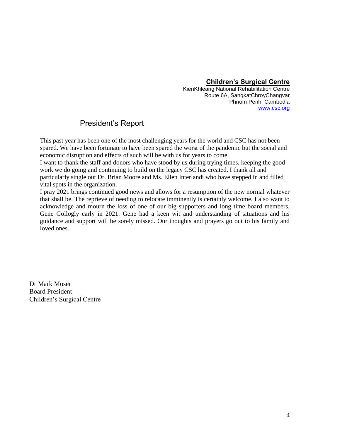### **Children's Surgical Centre**

KienKhleang National Rehabilitation Centre Route 6A, SangkatChroyChangvar Phnom Penh, Cambodia [www.csc.org](http://www.csc.org/)

### President"s Report

This past year has been one of the most challenging years for the world and CSC has not been spared. We have been fortunate to have been spared the worst of the pandemic but the social and economic disruption and effects of such will be with us for years to come.

I want to thank the staff and donors who have stood by us during trying times, keeping the good work we do going and continuing to build on the legacy CSC has created. I thank all and particularly single out Dr. Brian Moore and Ms. Ellen Interlandi who have stepped in and filled vital spots in the organization.

I pray 2021 brings continued good news and allows for a resumption of the new normal whatever that shall be. The reprieve of needing to relocate imminently is certainly welcome. I also want to acknowledge and mourn the loss of one of our big supporters and long time board members, Gene Gollogly early in 2021. Gene had a keen wit and understanding of situations and his guidance and support will be sorely missed. Our thoughts and prayers go out to his family and loved ones.

Dr Mark Moser Board President Children's Surgical Centre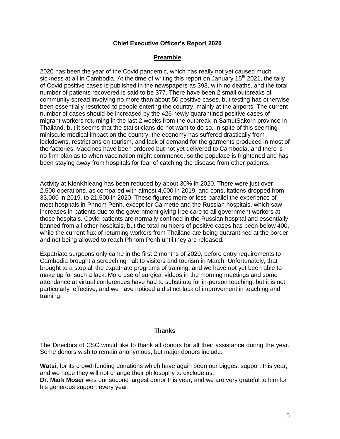#### **Chief Executive Officer's Report 2020**

#### **Preamble**

2020 has been the year of the Covid pandemic, which has really not yet caused much sickness at all in Cambodia. At the time of writing this report on January  $15<sup>th</sup>$  2021, the tally of Covid positive cases is published in the newspapers as 398, with no deaths, and the total number of patients recovered is said to be 377. There have been 2 small outbreaks of community spread involving no more than about 50 positive cases, but testing has otherwise been essentially restricted to people entering the country, mainly at the airports. The current number of cases should be increased by the 426 newly quarantined positive cases of migrant workers returning in the last 2 weeks from the outbreak in SamutSakorn province in Thailand, but it seems that the statisticians do not want to do so. In spite of this seeming miniscule medical impact on the country, the economy has suffered drastically from lockdowns, restrictions on tourism, and lack of demand for the garments produced in most of the factories. Vaccines have been ordered but not yet delivered to Cambodia, and there is no firm plan as to when vaccination might commence, so the populace is frightened and has been staying away from hospitals for fear of catching the disease from other patients.

Activity at KienKhleang has been reduced by about 30% in 2020. There were just over 2,500 operations, as compared with almost 4,000 in 2019, and consultations dropped from 33,000 in 2019, to 21,500 in 2020. These figures more or less parallel the experience of most hospitals in Phnom Penh, except for Calmette and the Russian hospitals, which saw increases in patients due to the government giving free care to all government workers at those hospitals. Covid patients are normally confined in the Russian hospital and essentially banned from all other hospitals, but the total numbers of positive cases has been below 400, while the current flux of returning workers from Thailand are being quarantined at the border and not being allowed to reach Phnom Penh until they are released.

Expatriate surgeons only came in the first 2 months of 2020, before entry requirements to Cambodia brought a screeching halt to visitors and tourism in March. Unfortunately, that brought to a stop all the expatriate programs of training, and we have not yet been able to make up for such a lack. More use of surgical videos in the morning meetings and some attendance at virtual conferences have had to substitute for in-person teaching, but it is not particularly effective, and we have noticed a distinct lack of improvement in teaching and training.

#### **Thanks**

The Directors of CSC would like to thank all donors for all their assistance during the year. Some donors wish to remain anonymous, but major donors include:

**Watsi,** for its crowd-funding donations which have again been our biggest support this year, and we hope they will not change their philosophy to exclude us.

**Dr. Mark Moser** was our second largest donor this year, and we are very grateful to him for his generous support every year.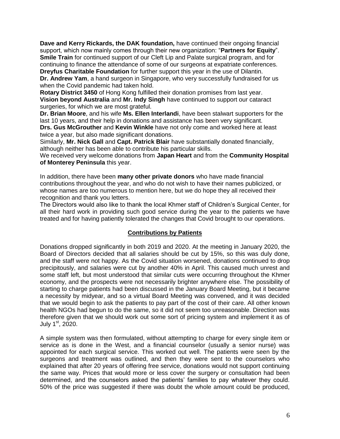**Dave and Kerry Rickards, the DAK foundation,** have continued their ongoing financial support, which now mainly comes through their new organization: "**Partners for Equity**". **Smile Train** for continued support of our Cleft Lip and Palate surgical program, and for continuing to finance the attendance of some of our surgeons at expatriate conferences. **Dreyfus Charitable Foundation** for further support this year in the use of Dilantin.

**Dr. Andrew Yam**, a hand surgeon in Singapore, who very successfully fundraised for us when the Covid pandemic had taken hold.

**Rotary District 3450** of Hong Kong fulfilled their donation promises from last year. **Vision beyond Australia** and **Mr. Indy Singh** have continued to support our cataract surgeries, for which we are most grateful.

**Dr. Brian Moore**, and his wife **Ms. Ellen Interlandi**, have been stalwart supporters for the last 10 years, and their help in donations and assistance has been very significant.

**Drs. Gus McGrouther** and **Kevin Winkle** have not only come and worked here at least twice a year, but also made significant donations.

Similarly, **Mr. Nick Gall** and **Capt. Patrick Blair** have substantially donated financially, although neither has been able to contribute his particular skills.

We received very welcome donations from **Japan Heart** and from the **Community Hospital of Monterey Peninsula** this year.

In addition, there have been **many other private donors** who have made financial contributions throughout the year, and who do not wish to have their names publicized, or whose names are too numerous to mention here, but we do hope they all received their recognition and thank you letters.

The Directors would also like to thank the local Khmer staff of Children"s Surgical Center, for all their hard work in providing such good service during the year to the patients we have treated and for having patiently tolerated the changes that Covid brought to our operations.

#### **Contributions by Patients**

Donations dropped significantly in both 2019 and 2020. At the meeting in January 2020, the Board of Directors decided that all salaries should be cut by 15%, so this was duly done, and the staff were not happy. As the Covid situation worsened, donations continued to drop precipitously, and salaries were cut by another 40% in April. This caused much unrest and some staff left, but most understood that similar cuts were occurring throughout the Khmer economy, and the prospects were not necessarily brighter anywhere else. The possibility of starting to charge patients had been discussed in the January Board Meeting, but it became a necessity by midyear, and so a virtual Board Meeting was convened, and it was decided that we would begin to ask the patients to pay part of the cost of their care. All other known health NGOs had begun to do the same, so it did not seem too unreasonable. Direction was therefore given that we should work out some sort of pricing system and implement it as of July  $1<sup>st</sup>$ , 2020.

A simple system was then formulated, without attempting to charge for every single item or service as is done in the West, and a financial counselor (usually a senior nurse) was appointed for each surgical service. This worked out well. The patients were seen by the surgeons and treatment was outlined, and then they were sent to the counselors who explained that after 20 years of offering free service, donations would not support continuing the same way. Prices that would more or less cover the surgery or consultation had been determined, and the counselors asked the patients" families to pay whatever they could. 50% of the price was suggested if there was doubt the whole amount could be produced,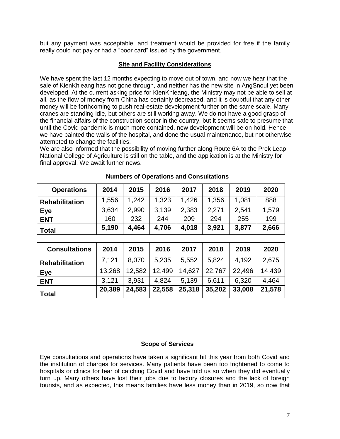but any payment was acceptable, and treatment would be provided for free if the family really could not pay or had a "poor card" issued by the government.

#### **Site and Facility Considerations**

We have spent the last 12 months expecting to move out of town, and now we hear that the sale of KienKhleang has not gone through, and neither has the new site in AngSnoul yet been developed. At the current asking price for KienKhleang, the Ministry may not be able to sell at all, as the flow of money from China has certainly decreased, and it is doubtful that any other money will be forthcoming to push real-estate development further on the same scale. Many cranes are standing idle, but others are still working away. We do not have a good grasp of the financial affairs of the construction sector in the country, but it seems safe to presume that until the Covid pandemic is much more contained, new development will be on hold. Hence we have painted the walls of the hospital, and done the usual maintenance, but not otherwise attempted to change the facilities.

We are also informed that the possibility of moving further along Route 6A to the Prek Leap National College of Agriculture is still on the table, and the application is at the Ministry for final approval. We await further news.

| <b>Operations</b>     | 2014  | 2015  | 2016  | 2017  | 2018  | 2019  | 2020  |
|-----------------------|-------|-------|-------|-------|-------|-------|-------|
| <b>Rehabilitation</b> | 1,556 | 1,242 | 1,323 | 1.426 | 1.356 | 1,081 | 888   |
| Eye                   | 3,634 | 2.990 | 3,139 | 2,383 | 2,271 | 2,541 | 1,579 |
| <b>ENT</b>            | 160   | 232   | 244   | 209   | 294   | 255   | 199   |
| <b>Total</b>          | 5,190 | 4.464 | 4.706 | 4,018 | 3.921 | 3,877 | 2,666 |

#### **Numbers of Operations and Consultations**

| <b>Consultations</b>  | 2014   | 2015   | 2016   | 2017   | 2018   | 2019   | 2020   |
|-----------------------|--------|--------|--------|--------|--------|--------|--------|
| <b>Rehabilitation</b> | 7.121  | 8,070  | 5,235  | 5,552  | 5.824  | 4,192  | 2,675  |
| Eye                   | 13.268 | 12,582 | 12,499 | 14,627 | 22,767 | 22,496 | 14.439 |
| <b>ENT</b>            | 3.121  | 3.931  | 4.824  | 5,139  | 6.611  | 6,320  | 4,464  |
| <b>Total</b>          | 20,389 | 24,583 | 22,558 | 25,318 | 35,202 | 33,008 | 21,578 |

#### **Scope of Services**

Eye consultations and operations have taken a significant hit this year from both Covid and the institution of charges for services. Many patients have been too frightened to come to hospitals or clinics for fear of catching Covid and have told us so when they did eventually turn up. Many others have lost their jobs due to factory closures and the lack of foreign tourists, and as expected, this means families have less money than in 2019, so now that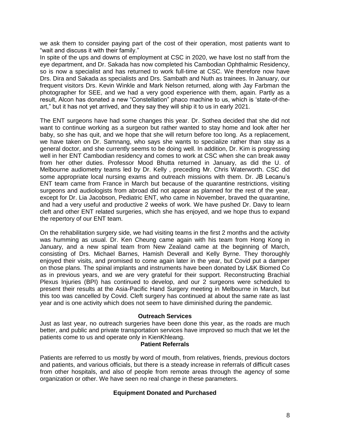we ask them to consider paying part of the cost of their operation, most patients want to "wait and discuss it with their family."

In spite of the ups and downs of employment at CSC in 2020, we have lost no staff from the eye department, and Dr. Sakada has now completed his Cambodian Ophthalmic Residency, so is now a specialist and has returned to work full-time at CSC. We therefore now have Drs. Dira and Sakada as specialists and Drs. Sambath and Nuth as trainees. In January, our frequent visitors Drs. Kevin Winkle and Mark Nelson returned, along with Jay Farbman the photographer for SEE, and we had a very good experience with them, again. Partly as a result, Alcon has donated a new "Constellation" phaco machine to us, which is "state-of-theart," but it has not yet arrived, and they say they will ship it to us in early 2021.

The ENT surgeons have had some changes this year. Dr. Sothea decided that she did not want to continue working as a surgeon but rather wanted to stay home and look after her baby, so she has quit, and we hope that she will return before too long. As a replacement, we have taken on Dr. Samnang, who says she wants to specialize rather than stay as a general doctor, and she currently seems to be doing well. In addition, Dr. Kim is progressing well in her ENT Cambodian residency and comes to work at CSC when she can break away from her other duties. Professor Mood Bhutta returned in January, as did the U. of Melbourne audiometry teams led by Dr. Kelly , preceding Mr. Chris Waterworth. CSC did some appropriate local nursing exams and outreach missions with them. Dr. JB Lecanu"s ENT team came from France in March but because of the quarantine restrictions, visiting surgeons and audiologists from abroad did not appear as planned for the rest of the year, except for Dr. Lia Jacobson, Pediatric ENT, who came in November, braved the quarantine, and had a very useful and productive 2 weeks of work. We have pushed Dr. Davy to learn cleft and other ENT related surgeries, which she has enjoyed, and we hope thus to expand the repertory of our ENT team.

On the rehabilitation surgery side, we had visiting teams in the first 2 months and the activity was humming as usual. Dr. Ken Cheung came again with his team from Hong Kong in January, and a new spinal team from New Zealand came at the beginning of March, consisting of Drs. Michael Barnes, Hamish Deverall and Kelly Byrne. They thoroughly enjoyed their visits, and promised to come again later in the year, but Covid put a damper on those plans. The spinal implants and instruments have been donated by L&K Biomed Co as in previous years, and we are very grateful for their support. Reconstructing Brachial Plexus Injuries (BPI) has continued to develop, and our 2 surgeons were scheduled to present their results at the Asia-Pacific Hand Surgery meeting in Melbourne in March, but this too was cancelled by Covid. Cleft surgery has continued at about the same rate as last year and is one activity which does not seem to have diminished during the pandemic.

#### **Outreach Services**

Just as last year, no outreach surgeries have been done this year, as the roads are much better, and public and private transportation services have improved so much that we let the patients come to us and operate only in KienKhleang.

#### **Patient Referrals**

Patients are referred to us mostly by word of mouth, from relatives, friends, previous doctors and patients, and various officials, but there is a steady increase in referrals of difficult cases from other hospitals, and also of people from remote areas through the agency of some organization or other. We have seen no real change in these parameters.

#### **Equipment Donated and Purchased**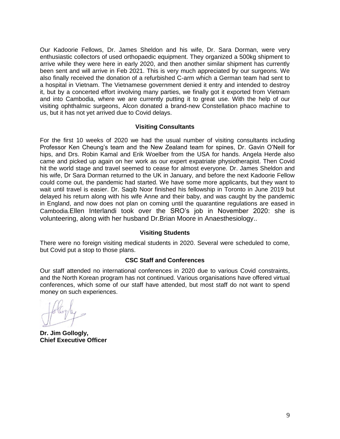Our Kadoorie Fellows, Dr. James Sheldon and his wife, Dr. Sara Dorman, were very enthusiastic collectors of used orthopaedic equipment. They organized a 500kg shipment to arrive while they were here in early 2020, and then another similar shipment has currently been sent and will arrive in Feb 2021. This is very much appreciated by our surgeons. We also finally received the donation of a refurbished C-arm which a German team had sent to a hospital in Vietnam. The Vietnamese government denied it entry and intended to destroy it, but by a concerted effort involving many parties, we finally got it exported from Vietnam and into Cambodia, where we are currently putting it to great use. With the help of our visiting ophthalmic surgeons, Alcon donated a brand-new Constellation phaco machine to us, but it has not yet arrived due to Covid delays.

#### **Visiting Consultants**

For the first 10 weeks of 2020 we had the usual number of visiting consultants including Professor Ken Cheung"s team and the New Zealand team for spines, Dr. Gavin O"Neill for hips, and Drs. Robin Kamal and Erik Woelber from the USA for hands. Angela Herde also came and picked up again on her work as our expert expatriate physiotherapist. Then Covid hit the world stage and travel seemed to cease for almost everyone. Dr. James Sheldon and his wife, Dr Sara Dorman returned to the UK in January, and before the next Kadoorie Fellow could come out, the pandemic had started. We have some more applicants, but they want to wait until travel is easier. Dr. Saqib Noor finished his fellowship in Toronto in June 2019 but delayed his return along with his wife Anne and their baby, and was caught by the pandemic in England, and now does not plan on coming until the quarantine regulations are eased in Cambodia.Ellen Interlandi took over the SRO"s job in November 2020: she is volunteering, along with her husband Dr.Brian Moore in Anaesthesiology..

#### **Visiting Students**

There were no foreign visiting medical students in 2020. Several were scheduled to come, but Covid put a stop to those plans.

#### **CSC Staff and Conferences**

Our staff attended no international conferences in 2020 due to various Covid constraints, and the North Korean program has not continued. Various organisations have offered virtual conferences, which some of our staff have attended, but most staff do not want to spend money on such experiences.

**Dr. Jim Gollogly, Chief Executive Officer**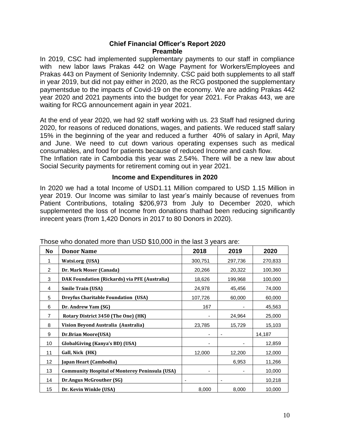#### **Chief Financial Officer's Report 2020 Preamble**

In 2019, CSC had implemented supplementary payments to our staff in compliance with new labor laws Prakas 442 on Wage Payment for Workers/Employees and Prakas 443 on Payment of Seniority Indemnity. CSC paid both supplements to all staff in year 2019, but did not pay either in 2020, as the RCG postponed the supplementary paymentsdue to the impacts of Covid-19 on the economy. We are adding Prakas 442 year 2020 and 2021 payments into the budget for year 2021. For Prakas 443, we are waiting for RCG announcement again in year 2021.

At the end of year 2020, we had 92 staff working with us. 23 Staff had resigned during 2020, for reasons of reduced donations, wages, and patients. We reduced staff salary 15% in the beginning of the year and reduced a further 40% of salary in April, May and June. We need to cut down various operating expenses such as medical consumables, and food for patients because of reduced Income and cash flow.

The Inflation rate in Cambodia this year was 2.54%. There will be a new law about Social Security payments for retirement coming out in year 2021.

#### **Income and Expenditures in 2020**

In 2020 we had a total Income of USD1.11 Million compared to USD 1.15 Million in year 2019. Our Income was similar to last year"s mainly because of revenues from Patient Contributions, totaling \$206,973 from July to December 2020, which supplemented the loss of Income from donations thathad been reducing significantly inrecent years (from 1,420 Donors in 2017 to 80 Donors in 2020).

| No             | <b>Donor Name</b>                                     | 2018                     | 2019                     | 2020    |
|----------------|-------------------------------------------------------|--------------------------|--------------------------|---------|
| 1              | <b>Watsi.org (USA)</b>                                | 300,751                  | 297,736                  | 270,833 |
| 2              | Dr. Mark Moser (Canada)                               | 20,266                   | 20,322                   | 100,360 |
| 3              | DAK Foundation (Rickards) via PFE (Australia)         | 18,626                   | 199,968                  | 100,000 |
| 4              | <b>Smile Train (USA)</b>                              | 24,978                   | 45,456                   | 74,000  |
| 5              | <b>Dreyfus Charitable Foundation (USA)</b>            | 107,726                  | 60,000                   | 60,000  |
| 6              | Dr. Andrew Yam (SG)                                   | 167                      |                          | 45,563  |
| $\overline{7}$ | Rotary District 3450 (The One) (HK)                   |                          | 24,964                   | 25,000  |
| 8              | Vision Beyond Australia (Australia)                   | 23,785                   | 15,729                   | 15,103  |
| 9              | <b>Dr.Brian Moore(USA)</b>                            |                          |                          | 14,187  |
| 10             | <b>GlobalGiving (Kanya's BD) (USA)</b>                |                          |                          | 12,859  |
| 11             | Gall, Nick (HK)                                       | 12,000                   | 12,200                   | 12,000  |
| 12             | Japan Heart (Cambodia)                                |                          | 6,953                    | 11,266  |
| 13             | <b>Community Hospital of Monterey Peninsula (USA)</b> |                          |                          | 10,000  |
| 14             | <b>Dr.Angus McGrouther (SG)</b>                       | $\overline{\phantom{a}}$ | $\overline{\phantom{a}}$ | 10,218  |
| 15             | Dr. Kevin Winkle (USA)                                | 8,000                    | 8,000                    | 10,000  |

Those who donated more than USD \$10,000 in the last 3 years are: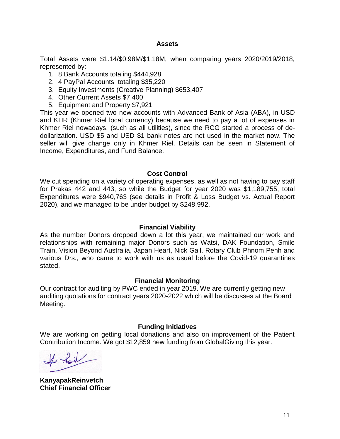#### **Assets**

Total Assets were \$1.14/\$0.98M/\$1.18M, when comparing years 2020/2019/2018, represented by:

- 1. 8 Bank Accounts totaling \$444,928
- 2. 4 PayPal Accounts totaling \$35,220
- 3. Equity Investments (Creative Planning) \$653,407
- 4. Other Current Assets \$7,400
- 5. Equipment and Property \$7,921

This year we opened two new accounts with Advanced Bank of Asia (ABA), in USD and KHR (Khmer Riel local currency) because we need to pay a lot of expenses in Khmer Riel nowadays, (such as all utilities), since the RCG started a process of dedollarization. USD \$5 and USD \$1 bank notes are not used in the market now. The seller will give change only in Khmer Riel. Details can be seen in Statement of Income, Expenditures, and Fund Balance.

#### **Cost Control**

We cut spending on a variety of operating expenses, as well as not having to pay staff for Prakas 442 and 443, so while the Budget for year 2020 was \$1,189,755, total Expenditures were \$940,763 (see details in Profit & Loss Budget vs. Actual Report 2020), and we managed to be under budget by \$248,992.

#### **Financial Viability**

As the number Donors dropped down a lot this year, we maintained our work and relationships with remaining major Donors such as Watsi, DAK Foundation, Smile Train, Vision Beyond Australia, Japan Heart, Nick Gall, Rotary Club Phnom Penh and various Drs., who came to work with us as usual before the Covid-19 quarantines stated.

#### **Financial Monitoring**

Our contract for auditing by PWC ended in year 2019. We are currently getting new auditing quotations for contract years 2020-2022 which will be discusses at the Board Meeting.

#### **Funding Initiatives**

We are working on getting local donations and also on improvement of the Patient Contribution Income. We got \$12,859 new funding from GlobalGiving this year.

A foil

**KanyapakReinvetch Chief Financial Officer**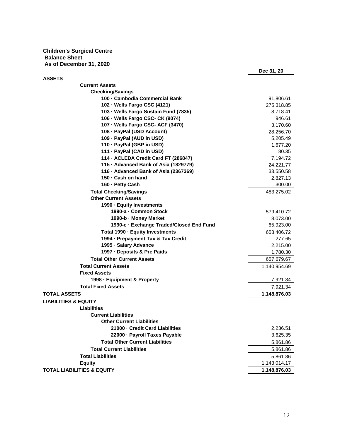**Children's Surgical Centre Balance Sheet As of December 31, 2020**

| <b>Current Assets</b><br><b>Checking/Savings</b><br>100 - Cambodia Commercial Bank<br>91,806.61<br>102 - Wells Fargo CSC (4121)<br>275,318.85<br>103 - Wells Fargo Sustain Fund (7835)<br>8,718.41<br>106 - Wells Fargo CSC- CK (9074)<br>946.61<br>107 - Wells Fargo CSC- ACF (3470)<br>3,170.60<br>108 - PayPal (USD Account)<br>28,256.70<br>109 - PayPal (AUD in USD)<br>5,205.49<br>110 - PayPal (GBP in USD)<br>1,677.20<br>111 - PayPal (CAD in USD)<br>80.35<br>114 · ACLEDA Credit Card FT (286847)<br>7,194.72<br>115 - Advanced Bank of Asia (1829779)<br>24,221.77<br>116 - Advanced Bank of Asia (2367369)<br>33,550.58<br>150 - Cash on hand<br>2,827.13<br>160 · Petty Cash<br>300.00<br><b>Total Checking/Savings</b><br>483,275.02<br><b>Other Current Assets</b><br>1990 Equity Investments<br>1990-a - Common Stock<br>579,410.72<br>1990-b - Money Market<br>8,073.00<br>1990-e - Exchange Traded/Closed End Fund<br>65,923.00<br>Total 1990 Equity Investments<br>653,406.72<br>1994 - Prepayment Tax & Tax Credit<br>277.65<br>1995 Salary Advance<br>2,215.00<br>1997 Deposits & Pre Paids<br>1,780.30<br><b>Total Other Current Assets</b><br>657,679.67<br><b>Total Current Assets</b><br>1,140,954.69<br><b>Fixed Assets</b><br>1998 - Equipment & Property<br>7,921.34<br><b>Total Fixed Assets</b><br>7,921.34<br>1,148,876.03<br><b>LIABILITIES &amp; EQUITY</b><br><b>Liabilities</b><br><b>Current Liabilities</b><br><b>Other Current Liabilities</b><br>21000 - Credit Card Liabilities<br>2,236.51<br>22000 - Payroll Taxes Payable<br>3,625.35<br><b>Total Other Current Liabilities</b><br>5,861.86<br><b>Total Current Liabilities</b><br>5,861.86<br><b>Total Liabilities</b><br>5,861.86<br><b>Equity</b><br>1,143,014.17<br>1,148,876.03 |                                       | Dec 31, 20 |
|----------------------------------------------------------------------------------------------------------------------------------------------------------------------------------------------------------------------------------------------------------------------------------------------------------------------------------------------------------------------------------------------------------------------------------------------------------------------------------------------------------------------------------------------------------------------------------------------------------------------------------------------------------------------------------------------------------------------------------------------------------------------------------------------------------------------------------------------------------------------------------------------------------------------------------------------------------------------------------------------------------------------------------------------------------------------------------------------------------------------------------------------------------------------------------------------------------------------------------------------------------------------------------------------------------------------------------------------------------------------------------------------------------------------------------------------------------------------------------------------------------------------------------------------------------------------------------------------------------------------------------------------------------------------------------------------------------------------------------------------------------------------------------|---------------------------------------|------------|
|                                                                                                                                                                                                                                                                                                                                                                                                                                                                                                                                                                                                                                                                                                                                                                                                                                                                                                                                                                                                                                                                                                                                                                                                                                                                                                                                                                                                                                                                                                                                                                                                                                                                                                                                                                                  | <b>ASSETS</b>                         |            |
|                                                                                                                                                                                                                                                                                                                                                                                                                                                                                                                                                                                                                                                                                                                                                                                                                                                                                                                                                                                                                                                                                                                                                                                                                                                                                                                                                                                                                                                                                                                                                                                                                                                                                                                                                                                  |                                       |            |
|                                                                                                                                                                                                                                                                                                                                                                                                                                                                                                                                                                                                                                                                                                                                                                                                                                                                                                                                                                                                                                                                                                                                                                                                                                                                                                                                                                                                                                                                                                                                                                                                                                                                                                                                                                                  |                                       |            |
|                                                                                                                                                                                                                                                                                                                                                                                                                                                                                                                                                                                                                                                                                                                                                                                                                                                                                                                                                                                                                                                                                                                                                                                                                                                                                                                                                                                                                                                                                                                                                                                                                                                                                                                                                                                  |                                       |            |
|                                                                                                                                                                                                                                                                                                                                                                                                                                                                                                                                                                                                                                                                                                                                                                                                                                                                                                                                                                                                                                                                                                                                                                                                                                                                                                                                                                                                                                                                                                                                                                                                                                                                                                                                                                                  |                                       |            |
|                                                                                                                                                                                                                                                                                                                                                                                                                                                                                                                                                                                                                                                                                                                                                                                                                                                                                                                                                                                                                                                                                                                                                                                                                                                                                                                                                                                                                                                                                                                                                                                                                                                                                                                                                                                  |                                       |            |
|                                                                                                                                                                                                                                                                                                                                                                                                                                                                                                                                                                                                                                                                                                                                                                                                                                                                                                                                                                                                                                                                                                                                                                                                                                                                                                                                                                                                                                                                                                                                                                                                                                                                                                                                                                                  |                                       |            |
|                                                                                                                                                                                                                                                                                                                                                                                                                                                                                                                                                                                                                                                                                                                                                                                                                                                                                                                                                                                                                                                                                                                                                                                                                                                                                                                                                                                                                                                                                                                                                                                                                                                                                                                                                                                  |                                       |            |
|                                                                                                                                                                                                                                                                                                                                                                                                                                                                                                                                                                                                                                                                                                                                                                                                                                                                                                                                                                                                                                                                                                                                                                                                                                                                                                                                                                                                                                                                                                                                                                                                                                                                                                                                                                                  |                                       |            |
|                                                                                                                                                                                                                                                                                                                                                                                                                                                                                                                                                                                                                                                                                                                                                                                                                                                                                                                                                                                                                                                                                                                                                                                                                                                                                                                                                                                                                                                                                                                                                                                                                                                                                                                                                                                  |                                       |            |
|                                                                                                                                                                                                                                                                                                                                                                                                                                                                                                                                                                                                                                                                                                                                                                                                                                                                                                                                                                                                                                                                                                                                                                                                                                                                                                                                                                                                                                                                                                                                                                                                                                                                                                                                                                                  |                                       |            |
|                                                                                                                                                                                                                                                                                                                                                                                                                                                                                                                                                                                                                                                                                                                                                                                                                                                                                                                                                                                                                                                                                                                                                                                                                                                                                                                                                                                                                                                                                                                                                                                                                                                                                                                                                                                  |                                       |            |
|                                                                                                                                                                                                                                                                                                                                                                                                                                                                                                                                                                                                                                                                                                                                                                                                                                                                                                                                                                                                                                                                                                                                                                                                                                                                                                                                                                                                                                                                                                                                                                                                                                                                                                                                                                                  |                                       |            |
|                                                                                                                                                                                                                                                                                                                                                                                                                                                                                                                                                                                                                                                                                                                                                                                                                                                                                                                                                                                                                                                                                                                                                                                                                                                                                                                                                                                                                                                                                                                                                                                                                                                                                                                                                                                  |                                       |            |
|                                                                                                                                                                                                                                                                                                                                                                                                                                                                                                                                                                                                                                                                                                                                                                                                                                                                                                                                                                                                                                                                                                                                                                                                                                                                                                                                                                                                                                                                                                                                                                                                                                                                                                                                                                                  |                                       |            |
|                                                                                                                                                                                                                                                                                                                                                                                                                                                                                                                                                                                                                                                                                                                                                                                                                                                                                                                                                                                                                                                                                                                                                                                                                                                                                                                                                                                                                                                                                                                                                                                                                                                                                                                                                                                  |                                       |            |
|                                                                                                                                                                                                                                                                                                                                                                                                                                                                                                                                                                                                                                                                                                                                                                                                                                                                                                                                                                                                                                                                                                                                                                                                                                                                                                                                                                                                                                                                                                                                                                                                                                                                                                                                                                                  |                                       |            |
|                                                                                                                                                                                                                                                                                                                                                                                                                                                                                                                                                                                                                                                                                                                                                                                                                                                                                                                                                                                                                                                                                                                                                                                                                                                                                                                                                                                                                                                                                                                                                                                                                                                                                                                                                                                  |                                       |            |
|                                                                                                                                                                                                                                                                                                                                                                                                                                                                                                                                                                                                                                                                                                                                                                                                                                                                                                                                                                                                                                                                                                                                                                                                                                                                                                                                                                                                                                                                                                                                                                                                                                                                                                                                                                                  |                                       |            |
|                                                                                                                                                                                                                                                                                                                                                                                                                                                                                                                                                                                                                                                                                                                                                                                                                                                                                                                                                                                                                                                                                                                                                                                                                                                                                                                                                                                                                                                                                                                                                                                                                                                                                                                                                                                  |                                       |            |
|                                                                                                                                                                                                                                                                                                                                                                                                                                                                                                                                                                                                                                                                                                                                                                                                                                                                                                                                                                                                                                                                                                                                                                                                                                                                                                                                                                                                                                                                                                                                                                                                                                                                                                                                                                                  |                                       |            |
|                                                                                                                                                                                                                                                                                                                                                                                                                                                                                                                                                                                                                                                                                                                                                                                                                                                                                                                                                                                                                                                                                                                                                                                                                                                                                                                                                                                                                                                                                                                                                                                                                                                                                                                                                                                  |                                       |            |
|                                                                                                                                                                                                                                                                                                                                                                                                                                                                                                                                                                                                                                                                                                                                                                                                                                                                                                                                                                                                                                                                                                                                                                                                                                                                                                                                                                                                                                                                                                                                                                                                                                                                                                                                                                                  |                                       |            |
|                                                                                                                                                                                                                                                                                                                                                                                                                                                                                                                                                                                                                                                                                                                                                                                                                                                                                                                                                                                                                                                                                                                                                                                                                                                                                                                                                                                                                                                                                                                                                                                                                                                                                                                                                                                  |                                       |            |
|                                                                                                                                                                                                                                                                                                                                                                                                                                                                                                                                                                                                                                                                                                                                                                                                                                                                                                                                                                                                                                                                                                                                                                                                                                                                                                                                                                                                                                                                                                                                                                                                                                                                                                                                                                                  |                                       |            |
|                                                                                                                                                                                                                                                                                                                                                                                                                                                                                                                                                                                                                                                                                                                                                                                                                                                                                                                                                                                                                                                                                                                                                                                                                                                                                                                                                                                                                                                                                                                                                                                                                                                                                                                                                                                  |                                       |            |
|                                                                                                                                                                                                                                                                                                                                                                                                                                                                                                                                                                                                                                                                                                                                                                                                                                                                                                                                                                                                                                                                                                                                                                                                                                                                                                                                                                                                                                                                                                                                                                                                                                                                                                                                                                                  |                                       |            |
|                                                                                                                                                                                                                                                                                                                                                                                                                                                                                                                                                                                                                                                                                                                                                                                                                                                                                                                                                                                                                                                                                                                                                                                                                                                                                                                                                                                                                                                                                                                                                                                                                                                                                                                                                                                  |                                       |            |
|                                                                                                                                                                                                                                                                                                                                                                                                                                                                                                                                                                                                                                                                                                                                                                                                                                                                                                                                                                                                                                                                                                                                                                                                                                                                                                                                                                                                                                                                                                                                                                                                                                                                                                                                                                                  |                                       |            |
|                                                                                                                                                                                                                                                                                                                                                                                                                                                                                                                                                                                                                                                                                                                                                                                                                                                                                                                                                                                                                                                                                                                                                                                                                                                                                                                                                                                                                                                                                                                                                                                                                                                                                                                                                                                  |                                       |            |
|                                                                                                                                                                                                                                                                                                                                                                                                                                                                                                                                                                                                                                                                                                                                                                                                                                                                                                                                                                                                                                                                                                                                                                                                                                                                                                                                                                                                                                                                                                                                                                                                                                                                                                                                                                                  |                                       |            |
|                                                                                                                                                                                                                                                                                                                                                                                                                                                                                                                                                                                                                                                                                                                                                                                                                                                                                                                                                                                                                                                                                                                                                                                                                                                                                                                                                                                                                                                                                                                                                                                                                                                                                                                                                                                  | <b>TOTAL ASSETS</b>                   |            |
|                                                                                                                                                                                                                                                                                                                                                                                                                                                                                                                                                                                                                                                                                                                                                                                                                                                                                                                                                                                                                                                                                                                                                                                                                                                                                                                                                                                                                                                                                                                                                                                                                                                                                                                                                                                  |                                       |            |
|                                                                                                                                                                                                                                                                                                                                                                                                                                                                                                                                                                                                                                                                                                                                                                                                                                                                                                                                                                                                                                                                                                                                                                                                                                                                                                                                                                                                                                                                                                                                                                                                                                                                                                                                                                                  |                                       |            |
|                                                                                                                                                                                                                                                                                                                                                                                                                                                                                                                                                                                                                                                                                                                                                                                                                                                                                                                                                                                                                                                                                                                                                                                                                                                                                                                                                                                                                                                                                                                                                                                                                                                                                                                                                                                  |                                       |            |
|                                                                                                                                                                                                                                                                                                                                                                                                                                                                                                                                                                                                                                                                                                                                                                                                                                                                                                                                                                                                                                                                                                                                                                                                                                                                                                                                                                                                                                                                                                                                                                                                                                                                                                                                                                                  |                                       |            |
|                                                                                                                                                                                                                                                                                                                                                                                                                                                                                                                                                                                                                                                                                                                                                                                                                                                                                                                                                                                                                                                                                                                                                                                                                                                                                                                                                                                                                                                                                                                                                                                                                                                                                                                                                                                  |                                       |            |
|                                                                                                                                                                                                                                                                                                                                                                                                                                                                                                                                                                                                                                                                                                                                                                                                                                                                                                                                                                                                                                                                                                                                                                                                                                                                                                                                                                                                                                                                                                                                                                                                                                                                                                                                                                                  |                                       |            |
|                                                                                                                                                                                                                                                                                                                                                                                                                                                                                                                                                                                                                                                                                                                                                                                                                                                                                                                                                                                                                                                                                                                                                                                                                                                                                                                                                                                                                                                                                                                                                                                                                                                                                                                                                                                  |                                       |            |
|                                                                                                                                                                                                                                                                                                                                                                                                                                                                                                                                                                                                                                                                                                                                                                                                                                                                                                                                                                                                                                                                                                                                                                                                                                                                                                                                                                                                                                                                                                                                                                                                                                                                                                                                                                                  |                                       |            |
|                                                                                                                                                                                                                                                                                                                                                                                                                                                                                                                                                                                                                                                                                                                                                                                                                                                                                                                                                                                                                                                                                                                                                                                                                                                                                                                                                                                                                                                                                                                                                                                                                                                                                                                                                                                  |                                       |            |
|                                                                                                                                                                                                                                                                                                                                                                                                                                                                                                                                                                                                                                                                                                                                                                                                                                                                                                                                                                                                                                                                                                                                                                                                                                                                                                                                                                                                                                                                                                                                                                                                                                                                                                                                                                                  |                                       |            |
|                                                                                                                                                                                                                                                                                                                                                                                                                                                                                                                                                                                                                                                                                                                                                                                                                                                                                                                                                                                                                                                                                                                                                                                                                                                                                                                                                                                                                                                                                                                                                                                                                                                                                                                                                                                  | <b>TOTAL LIABILITIES &amp; EQUITY</b> |            |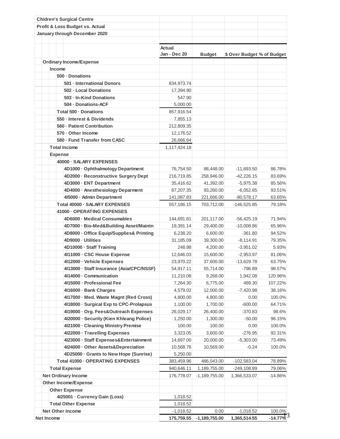|                                                    | <b>Chidren's Surgical Centre</b>          |                        |                 |                            |           |
|----------------------------------------------------|-------------------------------------------|------------------------|-----------------|----------------------------|-----------|
|                                                    | Profit & Loss Budget vs. Actual           |                        |                 |                            |           |
|                                                    | January through December 2020             |                        |                 |                            |           |
|                                                    |                                           |                        |                 |                            |           |
|                                                    |                                           | Actual<br>Jan - Dec 20 | <b>Budget</b>   | \$ Over Budget % of Budget |           |
|                                                    | <b>Ordinary Income/Expense</b>            |                        |                 |                            |           |
|                                                    | Income                                    |                        |                 |                            |           |
|                                                    | 500 - Donations                           |                        |                 |                            |           |
|                                                    | 501 · International Donors                | 834,973.74             |                 |                            |           |
|                                                    | 502 - Local Donations                     | 17,394.90              |                 |                            |           |
|                                                    | 503 - In-Kind Donations                   | 547.90                 |                 |                            |           |
|                                                    | 504 · Donations-ACF                       | 5,000.00               |                 |                            |           |
|                                                    | Total 500 · Donations                     | 857,916.54             |                 |                            |           |
|                                                    | 550 - Interest & Dividends                | 7,855.13               |                 |                            |           |
|                                                    | 560 - Patient Contribution                | 212,809.35             |                 |                            |           |
|                                                    | 570 - Other Income                        | 12,176.52              |                 |                            |           |
|                                                    | 580 · Fund Transfer from CASC             | 26,666.64              |                 |                            |           |
|                                                    | <b>Total Income</b>                       | 1,117,424.18           |                 |                            |           |
|                                                    | <b>Expense</b>                            |                        |                 |                            |           |
|                                                    | 40000 · SALARY EXPENSES                   |                        |                 |                            |           |
|                                                    | 4D1000 · Ophthalmology Department         | 76,754.50              | 88,448.00       | $-11,693.50$               | 86.78%    |
|                                                    | 4D2000 · Reconstructive Surgery Dept      | 216,719.85             | 258,946.00      | $-42,226.15$               | 83.69%    |
|                                                    | 4D3000 · ENT Department                   | 35,416.62              | 41,392.00       | $-5,975.38$                | 85.56%    |
|                                                    | 4D4000 · Anesthesiology Deparment         | 87,207.35              | 93,260.00       | $-6,052.65$                | 93.51%    |
|                                                    | 415000 - Admin Department                 | 141,087.83             | 221,666.00      | $-80,578.17$               | 63.65%    |
|                                                    | Total 40000 - SALARY EXPENSES             | 557,186.15             | 703,712.00      | $-146,525.85$              | 79.18%    |
|                                                    | 41000 - OPERATING EXPENSES                |                        |                 |                            |           |
|                                                    | 4D6000 - Medical Consumables              | 144,691.81             | 201,117.00      | $-56,425.19$               | 71.94%    |
|                                                    | 4D7000 · Bio-Med&Building Asset/Maintn    | 19,391.14              | 29,400.00       | $-10,008.86$               | 65.96%    |
|                                                    | 4D8000 · Office Equip/Supplies& Printing  | 6,238.20               | 6,600.00        | $-361.80$                  | 94.52%    |
|                                                    | 4D9000 · Utilities                        | 31,185.09              | 39,300.00       | $-8,114.91$                | 79.35%    |
|                                                    | 4D10000 · Staff Training                  | 248.98                 | 4,200.00        | $-3,951.02$                | 5.93%     |
|                                                    | 4l11000 · CSC House Expense               | 12,646.03              | 15,600.00       | $-2,953.97$                | 81.06%    |
|                                                    | 4l12000 · Vehicle Expenses                | 23,970.22              | 37,600.00       | $-13,629.78$               | 63.75%    |
|                                                    | 4l13000 · Staff Insurance (Asia/CPC/NSSF) | 54,917.11              | 55,714.00       | $-796.89$                  | 98.57%    |
|                                                    | 4l14000 · Communication                   | 11,210.08              | 9,268.00        | 1,942.08                   | 120.96%   |
|                                                    | 4l15000 · Professional Fee                | 7,264.30               | 6,775.00        | 489.30                     | 107.22%   |
|                                                    | 4l16000 · Bank Charges                    | 4,579.02               | 12,000.00       | $-7,420.98$                | 38.16%    |
|                                                    | 4l17000 · Med. Waste Magnt (Red Cross)    | 4,800.00               | 4,800.00        | 0.00                       | 100.0%    |
|                                                    | 4l18000 · Surgical Exp to CPC-Prolapsus   | 1,100.00               | 1,700.00        | $-600.00$                  | 64.71%    |
|                                                    | 4l19000 · Org. Fees&Outreach Expenses     | 26,029.17              | 26,400.00       | $-370.83$                  | 98.6%     |
|                                                    | 4120000 · Security (Kien Khleang Police)  | 1,250.00               | 1,300.00        | $-50.00$                   | 96.15%    |
|                                                    | 4121000 · Cleaning Ministry Premise       | 100.00                 | 100.00          | 0.00                       | 100.0%    |
|                                                    | 4122000 · Travelling Expenses             | 3,323.05               | 3,600.00        | $-276.95$                  | 92.31%    |
|                                                    | 4123000 · Staff Expenses&Entertainment    | 14,697.00              | 20,000.00       | $-5,303.00$                | 73.49%    |
|                                                    | 4l24000 · Other Assets&Depreciation       | 10,568.76              | 10,569.00       | $-0.24$                    | 100.0%    |
|                                                    | 4D25000 · Grants to New Hope (Sunrise)    | 5,250.00               |                 |                            |           |
|                                                    | Total 41000 - OPERATING EXPENSES          | 383,459.96             | 486,043.00      | $-102,583.04$              | 78.89%    |
| <b>Total Expense</b><br><b>Net Ordinary Income</b> |                                           | 940,646.11             | 1,189,755.00    | $-249,108.89$              | 79.06%    |
|                                                    |                                           | 176,778.07             | $-1,189,755.00$ | 1,366,533.07               | $-14.86%$ |
|                                                    | <b>Other Income/Expense</b>               |                        |                 |                            |           |
|                                                    | <b>Other Expense</b>                      |                        |                 |                            |           |
|                                                    | 4125001 · Currency Gain (Loss)            | 1,018.52               |                 |                            |           |
|                                                    | <b>Total Other Expense</b>                | 1,018.52               |                 |                            |           |
|                                                    | <b>Net Other Income</b>                   | $-1,018.52$            | 0.00            | $-1,018.52$                | 100.0%    |
| Net Income                                         |                                           | 175,759.55             | $-1,189,755.00$ | 1,365,514.55               | -14.77%   |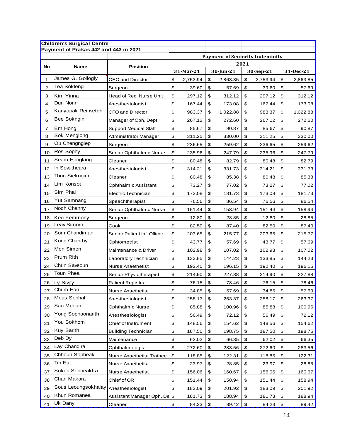|    | <b>Children's Surgical Centre</b>     |                              |                                                |           |    |           |                           |          |                           |           |
|----|---------------------------------------|------------------------------|------------------------------------------------|-----------|----|-----------|---------------------------|----------|---------------------------|-----------|
|    | Payment of Prakas 442 and 443 in 2021 |                              |                                                |           |    |           |                           |          |                           |           |
|    |                                       |                              | <b>Payment of Seniority Indeminity</b><br>2021 |           |    |           |                           |          |                           |           |
| No | <b>Name</b>                           | <b>Position</b>              |                                                | 31-Mar-21 |    | 30-Jun-21 | 30-Sep-21                 |          |                           | 31-Dec-21 |
| 1  | James G. Gollogly                     | <b>CEO and Director</b>      | \$                                             | 2,753.94  | \$ | 2,863.85  | \$                        | 2,753.94 | \$                        | 2,863.85  |
| 2  | Tea Sokleng                           | Surgeon                      | \$                                             | 39.60     | \$ | 57.69     | \$                        | 39.60    | \$                        | 57.69     |
| 3  | Kim Yinna                             | Head of Rec. Nurse Unit      | \$                                             | 297.12    | \$ | 312.12    | \$                        | 297.12   | \$                        | 312.12    |
| 4  | Dun Norin                             | Anesthesiologist             | \$                                             | 167.44    | \$ | 173.08    | \$                        | 167.44   | \$                        | 173.08    |
| 5  | Kanyapak Reinvetch                    | <b>CFO and Director</b>      | \$                                             | 983.37    | \$ | 1,022.88  | \$                        | 983.37   | \$                        | 1,022.88  |
| 6  | Bee Sokngin                           | Manager of Oph. Dept         | \$                                             | 267.12    | \$ | 272.60    | \$                        | 267.12   | \$                        | 272.60    |
| 7  | Em Hong                               | <b>Support Medical Staff</b> | \$                                             | 85.67     | \$ | 90.87     | \$                        | 85.67    | \$                        | 90.87     |
| 8  | Sok Menglong                          | Administrator Manager        | \$                                             | 311.25    | \$ | 330.00    | \$                        | 311.25   | \$                        | 330.00    |
| 9  | Ou Chengngiep                         | Surgeon                      | \$                                             | 236.65    | \$ | 259.62    | \$                        | 236.65   | \$                        | 259.62    |
| 10 | Ros Sophy                             | Senior Ophthalmic Nurse      | \$                                             | 235.96    | \$ | 247.79    | \$                        | 235.96   | \$                        | 247.79    |
| 11 | Seam Honglang                         | Cleaner                      | \$                                             | 80.48     | \$ | 82.79     | \$                        | 80.48    | \$                        | 82.79     |
| 12 | In Sovutheara                         | Anesthesiologist             | \$                                             | 314.21    | \$ | 331.73    | \$                        | 314.21   | \$                        | 331.73    |
| 13 | Thun Siekngim                         | Cleaner                      | \$                                             | 80.48     | \$ | 85.38     | \$                        | 80.48    | \$                        | 85.38     |
| 14 | Lim Konsot                            | Ophthalmic Assistant         | \$                                             | 73.27     | \$ | 77.02     | \$                        | 73.27    | \$                        | 77.02     |
| 15 | Sim Phal                              | Electric Technician          | \$                                             | 173.08    | \$ | 181.73    | \$                        | 173.08   | \$                        | 181.73    |
| 16 | Yut Samnang                           | Speechtherapist              | \$                                             | 76.56     | \$ | 86.54     | \$                        | 76.56    | \$                        | 86.54     |
| 17 | Noch Channy                           | Senior Ophthalmic Nurse      | \$                                             | 151.44    | \$ | 158.94    | \$                        | 151.44   | \$                        | 158.94    |
| 18 | Keo Yemmony                           | Surgeon                      | \$                                             | 12.80     | \$ | 28.85     | \$                        | 12.80    | \$                        | 28.85     |
| 19 | Leav Simorn                           | Cook                         | \$                                             | 82.50     | \$ | 87.40     | \$                        | 82.50    | \$                        | 87.40     |
| 20 | Som Chandiman                         | Senior Patient Inf. Officer  | \$                                             | 203.65    | \$ | 215.77    | \$                        | 203.65   | \$                        | 215.77    |
| 21 | Kong Chanthy                          | Ophtometrist                 | \$                                             | 43.77     | \$ | 57.69     | \$                        | 43.77    | \$                        | 57.69     |
| 22 | Men Simen                             | Maintenance & Driver         | \$                                             | 102.98    | \$ | 107.02    | \$                        | 102.98   | \$                        | 107.02    |
| 23 | Prum Rith                             | Laboratory Technician        | \$                                             | 133.85    | \$ | 144.23    | \$                        | 133.85   | \$                        | 144.23    |
| 24 | Chrin Saveoun                         | <b>Nurse Anaethetist</b>     | \$                                             | 192.40    | \$ | 196.15    | \$                        | 192.40   | \$                        | 196.15    |
| 25 | Toun Phea                             | Senior Physiotherapist       | \$                                             | 214.90    | \$ | 227.88    | \$                        | 214.90   | \$                        | 227.88    |
| 26 | Ly Sivpy                              | Patient Registrar            | \$                                             | 76.15     | \$ | 78.46     | \$                        | 76.15    | \$                        | 78.46     |
| 27 | Chum Han                              | Nurse Anaethetist            | \$                                             | 34.85     | \$ | 57.69     | \$                        | 34.85    | \$                        | 57.69     |
| 28 | Meas Sophal                           | Anesthesiologist             | \$                                             | 258.17    | \$ | 263.37    | \$                        | 258.17   | \$                        | 263.37    |
| 29 | Sao Meoun                             | <b>Ophthalmic Nurse</b>      | \$                                             | 85.88     | \$ | 100.96    | \$                        | 85.88    | \$                        | 100.96    |
| 30 | Yong Sophaonarith                     | Anesthesiologist             | \$                                             | 56.49     | \$ | 72.12     | \$                        | 56.49    | \$                        | 72.12     |
| 31 | You Sokhom                            | Chief of Instrument          | \$                                             | 148.56    | \$ | 154.62    | \$                        | 148.56   | \$                        | 154.62    |
| 32 | <b>Kuy Sarith</b>                     | <b>Building Technician</b>   | \$                                             | 187.50    | \$ | 198.75    | \$                        | 187.50   | \$                        | 198.75    |
| 33 | Deb Dy                                | Maintenance                  | \$                                             | 62.02     | \$ | 66.35     | \$                        | 62.02    | \$                        | 66.35     |
| 34 | Lay Chandira                          | Ophthalmologist              | \$                                             | 272.60    | \$ | 283.56    | \$                        | 272.60   | \$                        | 283.56    |
| 35 | Chhoun Sopheak                        | Nurse Anaethetist Trainee    | \$                                             | 118.85    | \$ | 122.31    | \$                        | 118.85   | \$                        | 122.31    |
| 36 | Tin Eat                               | Nurse Anaethetist            | \$                                             | 23.97     | \$ | 28.85     | \$                        | 23.97    | \$                        | 28.85     |
| 37 | Sokun Sopheaktra                      | Nurse Anaethetist            | \$                                             | 156.06    | \$ | 160.67    | \$                        | 156.06   | \$                        | 160.67    |
| 38 | Chan Makara                           | Chief of OR                  | \$                                             | 151.44    | \$ | 158.94    | \$                        | 151.44   | \$                        | 158.94    |
| 39 | Sous Leoungsokhalay                   | Anesthesiologist             | \$                                             | 183.09    | \$ | 201.92    | \$                        | 183.09   | \$                        | 201.92    |
| 40 | Khun Romanea                          | Assistant Manager Oph. De    | \$                                             | 181.73    | \$ | 188.94    | \$                        | 181.73   | \$                        | 188.94    |
| 41 | Uk Dany                               | Cleaner                      | \$                                             | 84.23     | \$ | 89.42     | $\overline{\mathfrak{s}}$ | 84.23    | $\overline{\mathfrak{D}}$ | 89.42     |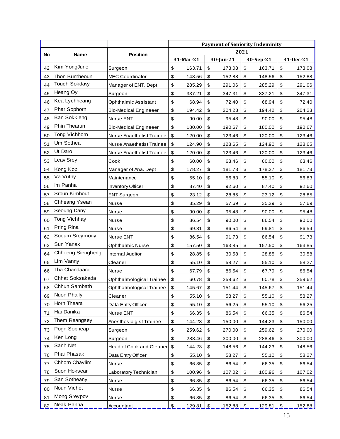|    |                     |                              | <b>Payment of Seniority Indeminity</b> |                 |            |           |                            |           |                   |                 |
|----|---------------------|------------------------------|----------------------------------------|-----------------|------------|-----------|----------------------------|-----------|-------------------|-----------------|
| No | <b>Name</b>         | <b>Position</b>              | 2021                                   |                 |            |           |                            |           |                   |                 |
|    |                     |                              |                                        | 31-Mar-21       |            | 30-Jun-21 |                            | 30-Sep-21 |                   | 31-Dec-21       |
| 42 | Kim YongJune        | Surgeon                      | \$                                     | 163.71          | \$         | 173.08    | $\boldsymbol{\$}$          | 163.71    | \$                | 173.08          |
| 43 | Thon Buntheoun      | MEC Coordinator              | \$                                     | 148.56          | \$         | 152.88    | \$                         | 148.56    | \$                | 152.88          |
| 44 | Touch Sokdavy       | Manager of ENT. Dept         | \$                                     | 285.29          | \$         | 291.06    | \$                         | 285.29    | \$                | 291.06          |
| 45 | Heang Oy            | Surgeon                      | \$                                     | 337.21          | \$         | 347.31    | \$                         | 337.21    | \$                | 347.31          |
| 46 | Kea Lychheang       | Ophthalmic Assistant         | \$                                     | 68.94           | \$         | 72.40     | \$                         | 68.94     | \$                | 72.40           |
| 47 | Phar Sophorn        | <b>Bio-Medical Engineeer</b> | \$                                     | 194.42          | \$         | 204.23    | \$                         | 194.42    | \$                | 204.23          |
| 48 | <b>Ban Sokkieng</b> | Nurse ENT                    | \$                                     | 90.00           | \$         | 95.48     | \$                         | 90.00     | \$                | 95.48           |
| 49 | Phin Thearun        | <b>Bio-Medical Engineeer</b> | \$                                     | 180.00          | \$         | 190.67    | \$                         | 180.00    | \$                | 190.67          |
| 50 | Tong Vichhorn       | Nurse Anaethetist Trainee    | \$                                     | 120.00          | \$         | 123.46    | \$                         | 120.00    | \$                | 123.46          |
| 51 | Um Sothea           | Nurse Anaethetist Trainee    | \$                                     | 124.90          | \$         | 128.65    | \$                         | 124.90    | \$                | 128.65          |
| 52 | Ut Daro             | Nurse Anaethetist Trainee    | \$                                     | 120.00          | \$         | 123.46    | \$                         | 120.00    | \$                | 123.46          |
| 53 | Leav Srey           | Cook                         | \$                                     | 60.00           | \$         | 63.46     | \$                         | 60.00     | \$                | 63.46           |
| 54 | Kong Kop            | Manager of Ana. Dept         | \$                                     | 178.27          | \$         | 181.73    | \$                         | 178.27    | \$                | 181.73          |
| 55 | Va Vuthy            | Maintenance                  | \$                                     | 55.10           | \$         | 56.83     | \$                         | 55.10     | \$                | 56.83           |
| 56 | Im Panha            | Inventory Officer            | \$                                     | 87.40           | \$         | 92.60     | \$                         | 87.40     | \$                | 92.60           |
| 57 | Sroun Kimhout       | <b>ENT Surgeon</b>           | \$                                     | 23.12           | \$         | 28.85     | \$                         | 23.12     | \$                | 28.85           |
| 58 | Chheang Ysean       | Nurse                        | \$                                     | 35.29           | \$         | 57.69     | \$                         | 35.29     | \$                | 57.69           |
| 59 | Seoung Dany         | Nurse                        | \$                                     | 90.00           | \$         | 95.48     | \$                         | 90.00     | \$                | 95.48           |
| 60 | Tong Vichhay        | Nurse                        | \$                                     | 86.54           | \$         | 90.00     | \$                         | 86.54     | \$                | 90.00           |
| 61 | Pring Rina          | Nurse                        | \$                                     | 69.81           | \$         | 86.54     | \$                         | 69.81     | \$                | 86.54           |
| 62 | Soeurn Sreymouy     | Nurse ENT                    | \$                                     | 86.54           | \$         | 91.73     | \$                         | 86.54     | \$                | 91.73           |
| 63 | Sun Yanak           | <b>Ophthalmic Nurse</b>      | \$                                     | 157.50          | \$         | 163.85    | \$                         | 157.50    | \$                | 163.85          |
| 64 | Chhoeng Siengheng   | <b>Internal Auditor</b>      | \$                                     | 28.85           | \$         | 30.58     | \$                         | 28.85     | \$                | 30.58           |
| 65 | Lim Vanny           | Cleaner                      | \$                                     | 55.10           | \$         | 58.27     | \$                         | 55.10     | \$                | 58.27           |
| 66 | Tha Chandaara       | Nurse                        | \$                                     | 67.79           | \$         | 86.54     | \$                         | 67.79     | \$                | 86.54           |
| 67 | Chhat Soksakada     | Ophthalmological Trainee     | \$                                     | 60.78           | \$         | 259.62    | \$                         | 60.78     | \$                | 259.62          |
| 68 | Chhun Sambath       | Ophthalmological Trainee     | \$                                     | 145.67          | $\pmb{\$}$ | 151.44    | $\boldsymbol{\mathsf{\$}}$ | 145.67    | $\boldsymbol{\$}$ | 151.44          |
| 69 | Nuon Phally         | Cleaner                      | \$                                     | 55.10           | \$         | 58.27     | \$                         | 55.10     | \$                | 58.27           |
| 70 | Horn Theara         | Data Entry Officer           | \$                                     | 55.10           | \$         | 56.25     | \$                         | 55.10     | \$                | 56.25           |
| 71 | Hai Danika          | Nurse ENT                    | \$                                     | 66.35           | \$         | 86.54     | \$                         | 66.35     | \$                | 86.54           |
| 72 | Them Reangsey       | Anesthesiolgist Trainee      | \$                                     | 144.23          | \$         | 150.00    | \$                         | 144.23    | \$                | 150.00          |
| 73 | Pogn Sopheap        | Surgeon                      | \$                                     | 259.62          | \$         | 270.00    | \$                         | 259.62    | \$                | 270.00          |
| 74 | Ken Long            | Surgeon                      | \$                                     | 288.46          | \$         | 300.00    | \$                         | 288.46    | \$                | 300.00          |
| 75 | Sanh Net            | Head of Cook and Cleaner     | \$                                     | 144.23          | \$         | 148.56    | \$                         | 144.23    | \$                | 148.56          |
| 76 | Phai Phasak         | Data Entry Officer           | \$                                     | 55.10           | \$         | 58.27     | \$                         | 55.10     | \$                | 58.27           |
| 77 | Chhorn Chaylim      | Nurse                        | \$                                     | 66.35           | \$         | 86.54     | \$                         | 66.35     | \$                | 86.54           |
| 78 | Suon Hoksear        | Laboratory Technician        | \$                                     |                 | \$         | 107.02    |                            | 100.96    | \$                |                 |
| 79 | San Sotheany        | Nurse                        | \$                                     | 100.96<br>66.35 | \$         | 86.54     | \$<br>\$                   | 66.35     | \$                | 107.02<br>86.54 |
| 80 | Noun Vichet         | Nurse                        | \$                                     | 66.35           | \$         | 86.54     | \$                         | 66.35     | \$                |                 |
|    | Mong Sreypov        |                              |                                        |                 |            |           |                            |           |                   | 86.54           |
| 81 | Neak Panha          | Nurse                        | \$                                     | 66.35           | \$         | 86.54     | \$                         | 66.35     | \$                | 86.54           |
| 82 |                     | Accountant                   | $\frac{1}{2}$                          | 129.81          | \$         | 152.88    | \$                         | 129.81    | $\,$              | 152.88          |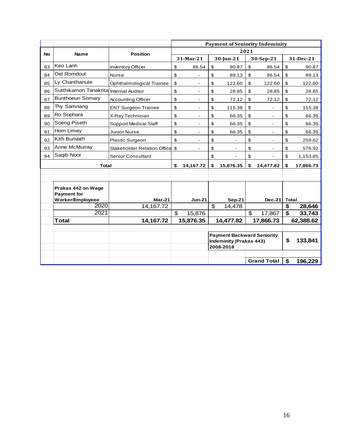|           |                                        |                                    | <b>Payment of Seniority Indeminity</b> |                          |                                                   |                                   |                |                    |                         |           |
|-----------|----------------------------------------|------------------------------------|----------------------------------------|--------------------------|---------------------------------------------------|-----------------------------------|----------------|--------------------|-------------------------|-----------|
| <b>No</b> | <b>Name</b>                            | <b>Position</b>                    | 2021                                   |                          |                                                   |                                   |                |                    |                         |           |
|           |                                        |                                    |                                        | 31-Mar-21<br>30-Jun-21   |                                                   | 30-Sep-21                         |                | 31-Dec-21          |                         |           |
| 83        | Keo Lanh                               | <b>Inventory Officer</b>           | \$                                     | 86.54                    | \$                                                | 90.87                             | \$             | 86.54              | \$                      | 90.87     |
| 84        | Oel Romdoul                            | <b>Nurse</b>                       | \$                                     |                          | \$                                                | 89.13                             | \$             | 86.54              | \$                      | 89.13     |
| 85        | Ly Chanthanute                         | Ophthalmological Trainee           | \$                                     |                          | \$                                                | 122.60                            | \$             | 122.60             | \$                      | 122.60    |
| 86        | Sutthikamon Tanakrita Internal Auditor |                                    | \$                                     | $\blacksquare$           | \$                                                | 28.85                             | \$             | 28.85              | \$                      | 28.85     |
| 87        | <b>Bunthoeun Somary</b>                | <b>Accounting Officer</b>          | \$                                     |                          | \$                                                | 72.12                             | \$             | 72.12              | \$                      | 72.12     |
| 88        | Thy Samnang                            | <b>ENT Surgeon Trainee</b>         | \$                                     | $\overline{\phantom{a}}$ | \$                                                | 115.38                            | \$             |                    | \$                      | 115.38    |
| 89        | Ro Sophara                             | X-Ray Technician                   | \$                                     | $\overline{\phantom{a}}$ | \$                                                | 66.35                             | \$             | $\blacksquare$     | \$                      | 66.35     |
| 90        | Soeng Piseth                           | <b>Support Medical Staff</b>       | \$                                     |                          | \$                                                | 66.35                             | \$             |                    | \$                      | 66.35     |
| 91        | Horn Limey                             | Junior Nurse                       | \$                                     | $\blacksquare$           | \$                                                | 66.35                             | \$             | $\blacksquare$     | \$                      | 66.35     |
| 92        | Kith Bunvath                           | Plastic Surgeon                    | \$                                     | $\blacksquare$           | \$                                                | L.                                | \$             | $\blacksquare$     | \$                      | 259.62    |
| 93        | Anne McMurray                          | <b>Stakeholder Relation Office</b> | $\boldsymbol{\mathsf{S}}$              |                          | \$                                                |                                   | \$             |                    | \$                      | 576.92    |
| 94        | Saqib Noor                             | <b>Senior Consultant</b>           |                                        |                          | \$                                                |                                   | \$             |                    | \$                      | 1,153.85  |
|           | <b>Total</b>                           |                                    | \$                                     | 14,167.72                | \$                                                | 15,876.35                         | \$             | 14,477.82          | \$                      | 17,866.73 |
|           |                                        |                                    |                                        |                          |                                                   |                                   |                |                    |                         |           |
|           |                                        |                                    |                                        |                          |                                                   |                                   |                |                    |                         |           |
|           | Prakas 442 on Wage                     |                                    |                                        |                          |                                                   |                                   |                |                    |                         |           |
|           | <b>Payment for</b>                     |                                    |                                        |                          |                                                   |                                   |                |                    |                         |           |
|           | Worker/Employeee<br>2020               | Mar-21<br>14,167.72                |                                        | <b>Jun-21</b>            | $\overline{\mathcal{S}}$                          | <b>Sep-21</b><br>14,478           |                | <b>Dec-21</b>      | <b>Total</b><br>\$      | 28,646    |
|           | 2021                                   |                                    | \$                                     | 15,876                   |                                                   |                                   | $\mathfrak{L}$ | 17,867             | $\overline{\mathbf{s}}$ | 33,743    |
|           | <b>Total</b>                           | 14,167.72                          |                                        | 15,876.35                |                                                   | 14,477.82                         |                | 17,866.73          |                         | 62,388.62 |
|           |                                        |                                    |                                        |                          |                                                   |                                   |                |                    |                         |           |
|           |                                        |                                    |                                        |                          |                                                   | <b>Payment Backward Seniority</b> |                |                    |                         |           |
|           |                                        |                                    |                                        |                          | \$<br><b>Indeminity (Prakas 443)</b><br>2008-2018 |                                   | 133,841        |                    |                         |           |
|           |                                        |                                    |                                        |                          |                                                   |                                   |                |                    |                         |           |
|           |                                        |                                    |                                        |                          |                                                   |                                   |                | <b>Grand Total</b> | \$                      | 196,229   |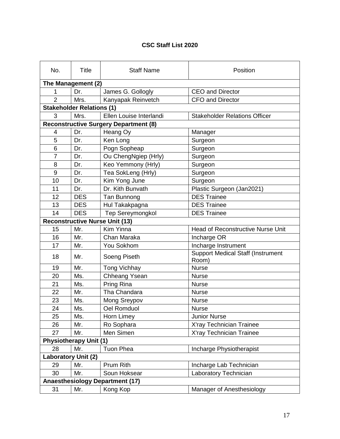### **CSC Staff List 2020**

| No.                        | <b>Title</b>                     | <b>Staff Name</b>                            | Position                                          |  |  |
|----------------------------|----------------------------------|----------------------------------------------|---------------------------------------------------|--|--|
|                            | The Management (2)               |                                              |                                                   |  |  |
| 1                          | Dr.                              | James G. Gollogly                            | <b>CEO and Director</b>                           |  |  |
| $\overline{2}$             | Mrs.                             | Kanyapak Reinvetch                           | <b>CFO and Director</b>                           |  |  |
|                            | <b>Stakeholder Relations (1)</b> |                                              |                                                   |  |  |
| 3                          | Mrs.                             | Ellen Louise Interlandi                      | <b>Stakeholder Relations Officer</b>              |  |  |
|                            |                                  | <b>Reconstructive Surgery Department (8)</b> |                                                   |  |  |
| 4                          | Dr.                              | Heang Oy                                     | Manager                                           |  |  |
| 5                          | Dr.                              | Ken Long                                     | Surgeon                                           |  |  |
| 6                          | Dr.                              | Pogn Sopheap                                 | Surgeon                                           |  |  |
| $\overline{7}$             | Dr.                              | Ou ChengNgiep (Hrly)                         | Surgeon                                           |  |  |
| 8                          | Dr.                              | Keo Yemmony (Hrly)                           | Surgeon                                           |  |  |
| 9                          | Dr.                              | Tea SokLeng (Hrly)                           | Surgeon                                           |  |  |
| 10                         | Dr.                              | Kim Yong June                                | Surgeon                                           |  |  |
| 11                         | Dr.                              | Dr. Kith Bunvath                             | Plastic Surgeon (Jan2021)                         |  |  |
| 12                         | <b>DES</b>                       | Tan Bunnong                                  | <b>DES Trainee</b>                                |  |  |
| 13                         | <b>DES</b>                       | Hul Takakpagna                               | <b>DES Trainee</b>                                |  |  |
| 14                         | <b>DES</b>                       | Tep Sereymongkol                             | <b>DES Trainee</b>                                |  |  |
|                            |                                  | <b>Reconstructive Nurse Unit (13)</b>        |                                                   |  |  |
| 15                         | Mr.                              | Kim Yinna                                    | Head of Reconstructive Nurse Unit                 |  |  |
| 16                         | Mr.                              | Chan Maraka                                  | Incharge OR                                       |  |  |
| 17                         | Mr.                              | You Sokhom                                   | Incharge Instrument                               |  |  |
| 18                         | Mr.                              | Soeng Piseth                                 | <b>Support Medical Staff (Instrument</b><br>Room) |  |  |
| 19                         | Mr.                              | <b>Tong Vichhay</b>                          | <b>Nurse</b>                                      |  |  |
| 20                         | Ms.                              | Chheang Ysean                                | <b>Nurse</b>                                      |  |  |
| 21                         | Ms.                              | Pring Rina                                   | <b>Nurse</b>                                      |  |  |
| 22                         | Mr.                              | Tha Chandara                                 | <b>Nurse</b>                                      |  |  |
| 23                         | Ms.                              | Mong Sreypov                                 | <b>Nurse</b>                                      |  |  |
| 24                         | Ms.                              | Oel Romduol                                  | <b>Nurse</b>                                      |  |  |
| 25                         | Ms.                              | Horn Limey                                   | <b>Junior Nurse</b>                               |  |  |
| 26                         | Mr.                              | Ro Sophara                                   | X'ray Technician Trainee                          |  |  |
| 27                         | Mr.                              | Men Simen                                    | X'ray Technician Trainee                          |  |  |
|                            | <b>Physiotherapy Unit (1)</b>    |                                              |                                                   |  |  |
| 28                         | Mr.                              | <b>Tuon Phea</b>                             | Incharge Physiotherapist                          |  |  |
| <b>Laboratory Unit (2)</b> |                                  |                                              |                                                   |  |  |
| 29                         | Mr.                              | Prum Rith                                    | Incharge Lab Technician                           |  |  |
| 30                         | Mr.                              | Soun Hoksear                                 | Laboratory Technician                             |  |  |
|                            |                                  | <b>Anaesthesiology Department (17)</b>       |                                                   |  |  |
| 31                         | Mr.                              | Kong Kop                                     | Manager of Anesthesiology                         |  |  |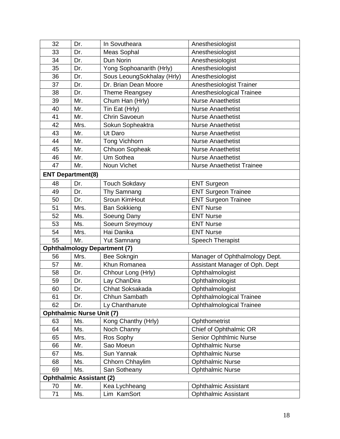| 32 | Dr.                              | In Sovutheara                       | Anesthesiologist                 |
|----|----------------------------------|-------------------------------------|----------------------------------|
| 33 | Dr.                              | Meas Sophal                         | Anesthesiologist                 |
| 34 | Dr.                              | Dun Norin                           | Anesthesiologist                 |
| 35 | Dr.                              | Yong Sophoanarith (Hrly)            | Anesthesiologist                 |
| 36 | Dr.                              | Sous LeoungSokhalay (Hrly)          | Anesthesiologist                 |
| 37 | Dr.                              | Dr. Brian Dean Moore                | Anesthesiologist Trainer         |
| 38 | Dr.                              | <b>Theme Reangsey</b>               | Anesthesiological Trainee        |
| 39 | Mr.                              | Chum Han (Hrly)                     | <b>Nurse Anaethetist</b>         |
| 40 | Mr.                              | Tin Eat (Hrly)                      | <b>Nurse Anaethetist</b>         |
| 41 | Mr.                              | <b>Chrin Savoeun</b>                | <b>Nurse Anaethetist</b>         |
| 42 | Mrs.                             | Sokun Sopheaktra                    | <b>Nurse Anaethetist</b>         |
| 43 | Mr.                              | Ut Daro                             | <b>Nurse Anaethetist</b>         |
| 44 | Mr.                              | <b>Tong Vichhorn</b>                | <b>Nurse Anaethetist</b>         |
| 45 | Mr.                              | Chhuon Sopheak                      | <b>Nurse Anaethetist</b>         |
| 46 | Mr.                              | Um Sothea                           | <b>Nurse Anaethetist</b>         |
| 47 | Mr.                              | Noun Vichet                         | <b>Nurse Anaethetist Trainee</b> |
|    | <b>ENT Department(8)</b>         |                                     |                                  |
| 48 | Dr.                              | <b>Touch Sokdavy</b>                | <b>ENT Surgeon</b>               |
| 49 | Dr.                              | Thy Samnang                         | <b>ENT Surgeon Trainee</b>       |
| 50 | Dr.                              | Sroun KimHout                       | <b>ENT Surgeon Trainee</b>       |
| 51 | Mrs.                             | <b>Ban Sokkieng</b>                 | <b>ENT Nurse</b>                 |
| 52 | Ms.                              | Soeung Dany                         | <b>ENT Nurse</b>                 |
| 53 | Ms.                              | Soeurn Sreymouy                     | <b>ENT Nurse</b>                 |
| 54 | Mrs.                             | Hai Danika                          | <b>ENT Nurse</b>                 |
| 55 | Mr.                              | <b>Yut Samnang</b>                  | Speech Therapist                 |
|    |                                  | <b>Ophthalmology Department (7)</b> |                                  |
| 56 | Mrs.                             | Bee Sokngin                         | Manager of Ophthalmology Dept.   |
| 57 | Mr.                              | Khun Romanea                        | Assistant Manager of Oph. Dept   |
| 58 | Dr.                              | Chhour Long (Hrly)                  | Ophthalmologist                  |
| 59 | Dr.                              | Lay ChanDira                        | Ophthalmologist                  |
| 60 | Dr.                              | Chhat Soksakada                     | Ophthalmologist                  |
| 61 | Dr.                              | Chhun Sambath                       | <b>Ophthalmological Trainee</b>  |
| 62 | Dr.                              | Ly Chanthanute                      | <b>Ophthalmological Trainee</b>  |
|    | <b>Ophthalmic Nurse Unit (7)</b> |                                     |                                  |
| 63 | Ms.                              | Kong Chanthy (Hrly)                 | Ophthometrist                    |
| 64 | Ms.                              | Noch Channy                         | Chief of Ophthalmic OR           |
| 65 | Mrs.                             | Ros Sophy                           | Senior OphthImic Nurse           |
| 66 | Mr.                              | Sao Moeun                           | <b>Ophthalmic Nurse</b>          |
| 67 | Ms.                              | Sun Yannak                          | <b>Ophthalmic Nurse</b>          |
| 68 | Ms.                              | Chhorn Chhaylim                     | <b>Ophthalmic Nurse</b>          |
| 69 | Ms.                              | San Sotheany                        | <b>Ophthalmic Nurse</b>          |
|    | <b>Ophthalmic Assistant (2)</b>  |                                     |                                  |
| 70 | Mr.                              | Kea Lychheang                       | <b>Ophthalmic Assistant</b>      |
| 71 | Ms.                              | Lim KamSort                         | <b>Ophthalmic Assistant</b>      |